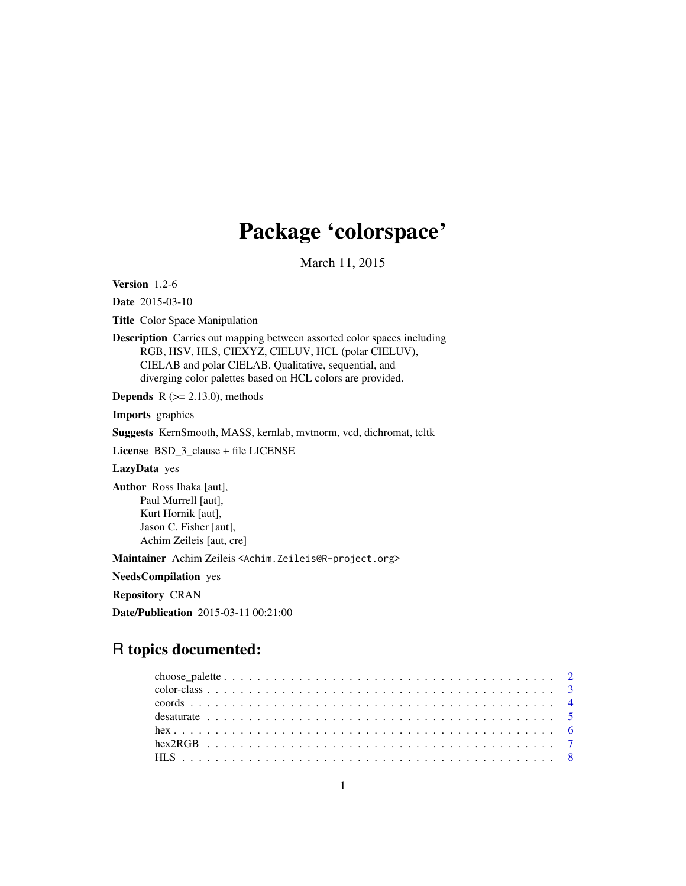# Package 'colorspace'

March 11, 2015

<span id="page-0-0"></span>Version 1.2-6

Date 2015-03-10

Title Color Space Manipulation

Description Carries out mapping between assorted color spaces including RGB, HSV, HLS, CIEXYZ, CIELUV, HCL (polar CIELUV), CIELAB and polar CIELAB. Qualitative, sequential, and diverging color palettes based on HCL colors are provided.

**Depends** R  $(>= 2.13.0)$ , methods

Imports graphics

Suggests KernSmooth, MASS, kernlab, mvtnorm, vcd, dichromat, tcltk

License BSD\_3\_clause + file LICENSE

LazyData yes

Author Ross Ihaka [aut], Paul Murrell [aut], Kurt Hornik [aut], Jason C. Fisher [aut], Achim Zeileis [aut, cre]

Maintainer Achim Zeileis <Achim.Zeileis@R-project.org>

NeedsCompilation yes

Repository CRAN

Date/Publication 2015-03-11 00:21:00

# R topics documented: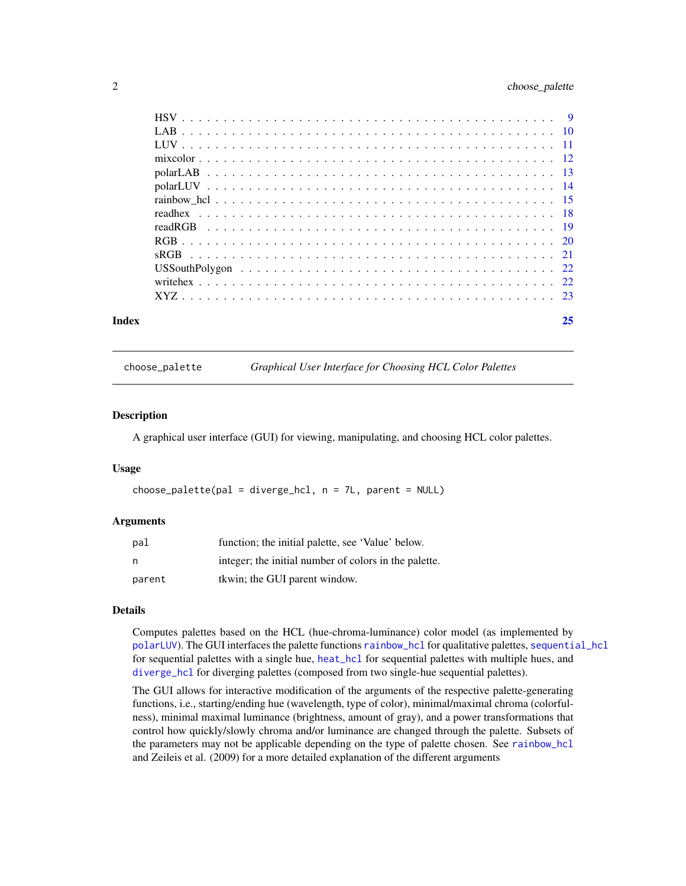# <span id="page-1-0"></span>2 choose\_palette

| Index | 25 |
|-------|----|
|       |    |
|       |    |
|       |    |
|       |    |
|       |    |
|       |    |
|       |    |
|       |    |
|       |    |
|       |    |
|       |    |
|       |    |
|       |    |
|       |    |

choose\_palette *Graphical User Interface for Choosing HCL Color Palettes*

#### Description

A graphical user interface (GUI) for viewing, manipulating, and choosing HCL color palettes.

#### Usage

```
choose\_palette(pal = diverge\_hcl, n = 7L, parent = NULL)
```
#### Arguments

| pal    | function; the initial palette, see 'Value' below.     |
|--------|-------------------------------------------------------|
| n      | integer; the initial number of colors in the palette. |
| parent | tkwin; the GUI parent window.                         |

# Details

Computes palettes based on the HCL (hue-chroma-luminance) color model (as implemented by [polarLUV](#page-13-1)). The GUI interfaces the palette functions [rainbow\\_hcl](#page-14-1) for qualitative palettes, [sequential\\_hcl](#page-14-2) for sequential palettes with a single hue, [heat\\_hcl](#page-14-2) for sequential palettes with multiple hues, and [diverge\\_hcl](#page-14-2) for diverging palettes (composed from two single-hue sequential palettes).

The GUI allows for interactive modification of the arguments of the respective palette-generating functions, i.e., starting/ending hue (wavelength, type of color), minimal/maximal chroma (colorfulness), minimal maximal luminance (brightness, amount of gray), and a power transformations that control how quickly/slowly chroma and/or luminance are changed through the palette. Subsets of the parameters may not be applicable depending on the type of palette chosen. See [rainbow\\_hcl](#page-14-1) and Zeileis et al. (2009) for a more detailed explanation of the different arguments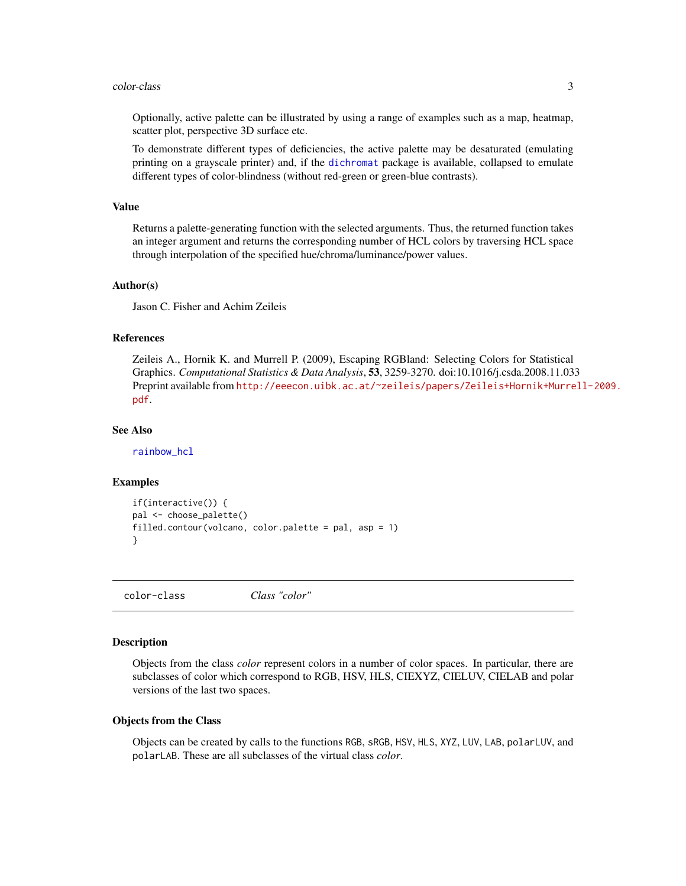#### <span id="page-2-0"></span>color-class 3

Optionally, active palette can be illustrated by using a range of examples such as a map, heatmap, scatter plot, perspective 3D surface etc.

To demonstrate different types of deficiencies, the active palette may be desaturated (emulating printing on a grayscale printer) and, if the [dichromat](#page-0-0) package is available, collapsed to emulate different types of color-blindness (without red-green or green-blue contrasts).

#### Value

Returns a palette-generating function with the selected arguments. Thus, the returned function takes an integer argument and returns the corresponding number of HCL colors by traversing HCL space through interpolation of the specified hue/chroma/luminance/power values.

#### Author(s)

Jason C. Fisher and Achim Zeileis

#### References

Zeileis A., Hornik K. and Murrell P. (2009), Escaping RGBland: Selecting Colors for Statistical Graphics. *Computational Statistics & Data Analysis*, 53, 3259-3270. doi:10.1016/j.csda.2008.11.033 Preprint available from [http://eeecon.uibk.ac.at/~zeileis/papers/Zeileis+Hornik+Murre](http://eeecon.uibk.ac.at/~zeileis/papers/Zeileis+Hornik+Murrell-2009.pdf)ll-2009. [pdf](http://eeecon.uibk.ac.at/~zeileis/papers/Zeileis+Hornik+Murrell-2009.pdf).

## See Also

[rainbow\\_hcl](#page-14-1)

#### Examples

```
if(interactive()) {
pal <- choose_palette()
filled.contour(volcano, color.palette = pal, asp = 1)
}
```
color-class *Class "color"*

#### **Description**

Objects from the class *color* represent colors in a number of color spaces. In particular, there are subclasses of color which correspond to RGB, HSV, HLS, CIEXYZ, CIELUV, CIELAB and polar versions of the last two spaces.

#### Objects from the Class

Objects can be created by calls to the functions RGB, sRGB, HSV, HLS, XYZ, LUV, LAB, polarLUV, and polarLAB. These are all subclasses of the virtual class *color*.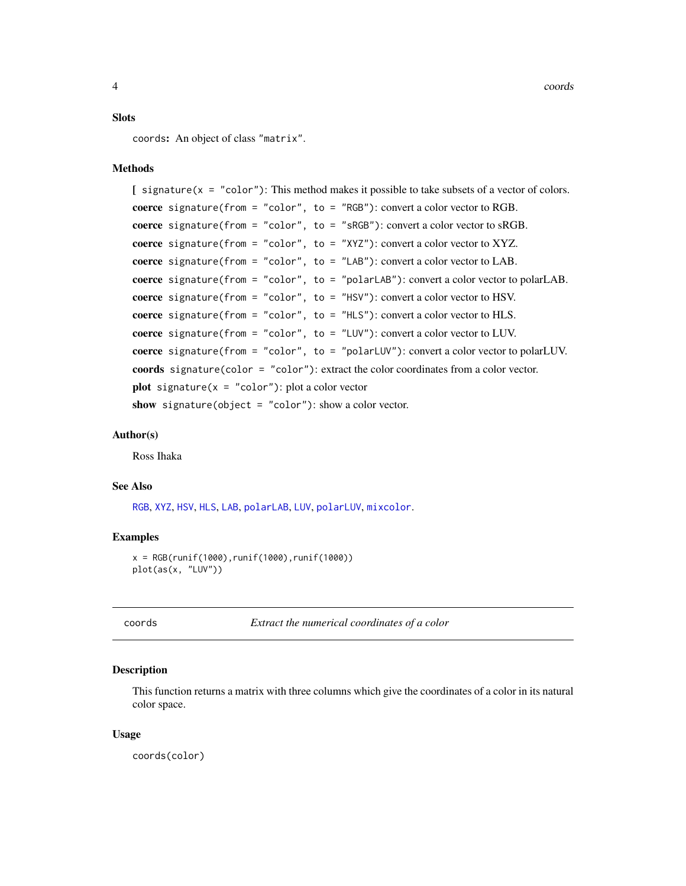#### <span id="page-3-0"></span>**Slots**

coords: An object of class "matrix".

### Methods

```
\int signature(x = "color"): This method makes it possible to take subsets of a vector of colors.
coerce signature(from = "color", to = "RGB"): convert a color vector to RGB.
coerce signature(from = "color", to = "sRGB"): convert a color vector to sRGB.
coerce signature(from = "color", to = "XYZ"): convert a color vector to XYZ.
coerce signature(from = "color", to = "LAB"): convert a color vector to LAB.
coerce signature(from = "color", to = "polarLAB"): convert a color vector to polarLAB.
coerce signature(from = "color", to = "HSV"): convert a color vector to HSV.
coerce signature(from = "color", to = "HLS"): convert a color vector to HLS.
coerce signature(from = "color", to = "LUV"): convert a color vector to LUV.
coerce signature(from = "color", to = "polarLUV"): convert a color vector to polarLUV.
coords signature(color = "color"): extract the color coordinates from a color vector.
plot signature(x = "color"): plot a color vector
show signature(object = "color"): show a color vector.
```
#### Author(s)

Ross Ihaka

#### See Also

[RGB](#page-19-1), [XYZ](#page-22-1), [HSV](#page-8-1), [HLS](#page-7-1), [LAB](#page-9-1), [polarLAB](#page-12-1), [LUV](#page-10-1), [polarLUV](#page-13-1), [mixcolor](#page-11-1).

#### Examples

```
x = RGB(runif(1000), runif(1000), runif(1000))plot(as(x, "LUV"))
```
coords *Extract the numerical coordinates of a color*

#### Description

This function returns a matrix with three columns which give the coordinates of a color in its natural color space.

#### Usage

coords(color)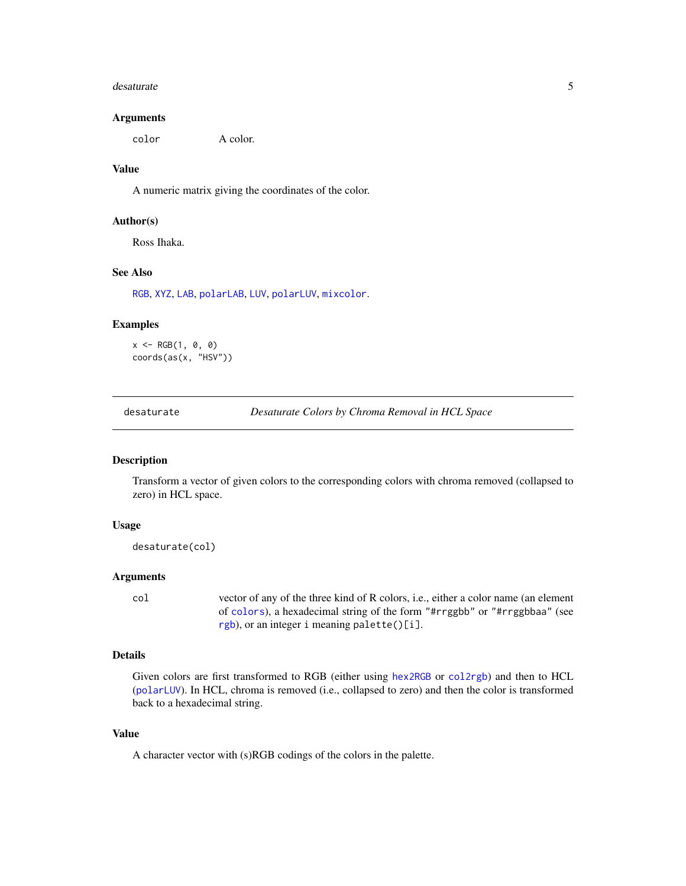#### <span id="page-4-0"></span>desaturate 5 and 5 and 5 and 5 and 5 and 5 and 5 and 5 and 5 and 5 and 5 and 5 and 5 and 5 and 5 and 5 and 5 and 5 and 5 and 5 and 5 and 5 and 5 and 5 and 5 and 5 and 5 and 5 and 5 and 5 and 5 and 5 and 5 and 5 and 5 and 5

#### Arguments

color A color.

# Value

A numeric matrix giving the coordinates of the color.

#### Author(s)

Ross Ihaka.

# See Also

[RGB](#page-19-1), [XYZ](#page-22-1), [LAB](#page-9-1), [polarLAB](#page-12-1), [LUV](#page-10-1), [polarLUV](#page-13-1), [mixcolor](#page-11-1).

#### Examples

 $x \leq -$  RGB $(1, 0, 0)$ coords(as(x, "HSV"))

desaturate *Desaturate Colors by Chroma Removal in HCL Space*

#### Description

Transform a vector of given colors to the corresponding colors with chroma removed (collapsed to zero) in HCL space.

#### Usage

desaturate(col)

#### Arguments

col vector of any of the three kind of R colors, i.e., either a color name (an element of [colors](#page-0-0)), a hexadecimal string of the form "#rrggbb" or "#rrggbbaa" (see [rgb](#page-0-0)), or an integer i meaning palette()[i].

#### Details

Given colors are first transformed to RGB (either using [hex2RGB](#page-6-1) or [col2rgb](#page-0-0)) and then to HCL ([polarLUV](#page-13-1)). In HCL, chroma is removed (i.e., collapsed to zero) and then the color is transformed back to a hexadecimal string.

# Value

A character vector with (s)RGB codings of the colors in the palette.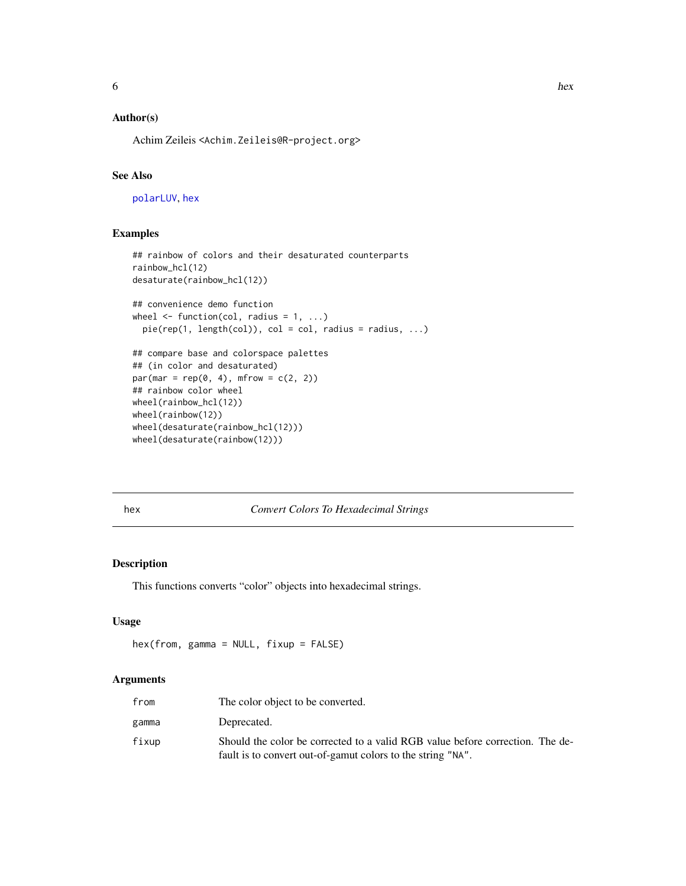# <span id="page-5-0"></span>Author(s)

Achim Zeileis <Achim.Zeileis@R-project.org>

# See Also

[polarLUV](#page-13-1), [hex](#page-5-1)

# Examples

```
## rainbow of colors and their desaturated counterparts
rainbow_hcl(12)
desaturate(rainbow_hcl(12))
## convenience demo function
wheel \leq function(col, radius = 1, ...)
  pie(rep(1, length(col)), col = col, radius = radius, ...)## compare base and colorspace palettes
## (in color and desaturated)
par(max = rep(0, 4), mfrow = c(2, 2))## rainbow color wheel
wheel(rainbow_hcl(12))
wheel(rainbow(12))
wheel(desaturate(rainbow_hcl(12)))
wheel(desaturate(rainbow(12)))
```
#### <span id="page-5-1"></span>hex *Convert Colors To Hexadecimal Strings*

#### Description

This functions converts "color" objects into hexadecimal strings.

# Usage

```
hex(from, gamma = NULL, fixup = FALSE)
```
#### Arguments

| from  | The color object to be converted.                                                                                                            |
|-------|----------------------------------------------------------------------------------------------------------------------------------------------|
| gamma | Deprecated.                                                                                                                                  |
| fixup | Should the color be corrected to a valid RGB value before correction. The de-<br>fault is to convert out-of-gamut colors to the string "NA". |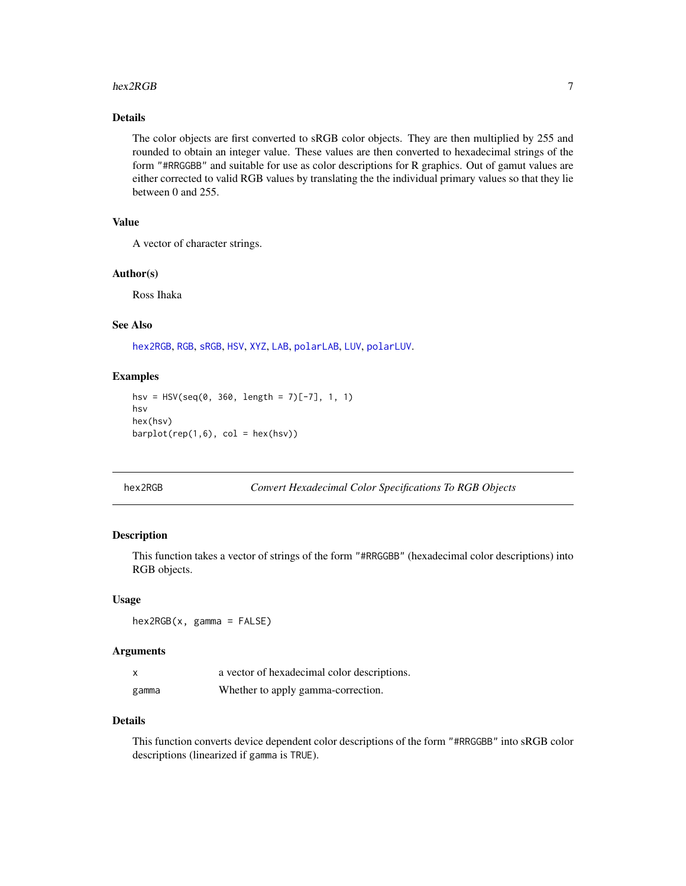#### <span id="page-6-0"></span>hex2RGB 7 and 2008 and 2008 and 2008 and 2008 and 2008 and 2008 and 2008 and 2008 and 2008 and 2008 and 2008 and 2008 and 2008 and 2008 and 2008 and 2008 and 2008 and 2008 and 2008 and 2008 and 2008 and 2008 and 2008 and 2

# Details

The color objects are first converted to sRGB color objects. They are then multiplied by 255 and rounded to obtain an integer value. These values are then converted to hexadecimal strings of the form "#RRGGBB" and suitable for use as color descriptions for R graphics. Out of gamut values are either corrected to valid RGB values by translating the the individual primary values so that they lie between 0 and 255.

# Value

A vector of character strings.

#### Author(s)

Ross Ihaka

# See Also

[hex2RGB](#page-6-1), [RGB](#page-19-1), [sRGB](#page-20-1), [HSV](#page-8-1), [XYZ](#page-22-1), [LAB](#page-9-1), [polarLAB](#page-12-1), [LUV](#page-10-1), [polarLUV](#page-13-1).

#### Examples

```
hsv = HSV(seq(0, 360, length = 7)[-7], 1, 1)hsv
hex(hsv)
barplot(rep(1,6), col = hex(hsv))
```
<span id="page-6-1"></span>hex2RGB *Convert Hexadecimal Color Specifications To RGB Objects*

# Description

This function takes a vector of strings of the form "#RRGGBB" (hexadecimal color descriptions) into RGB objects.

#### Usage

hex2RGB(x, gamma = FALSE)

#### Arguments

| x     | a vector of hexadecimal color descriptions. |
|-------|---------------------------------------------|
| gamma | Whether to apply gamma-correction.          |

# Details

This function converts device dependent color descriptions of the form "#RRGGBB" into sRGB color descriptions (linearized if gamma is TRUE).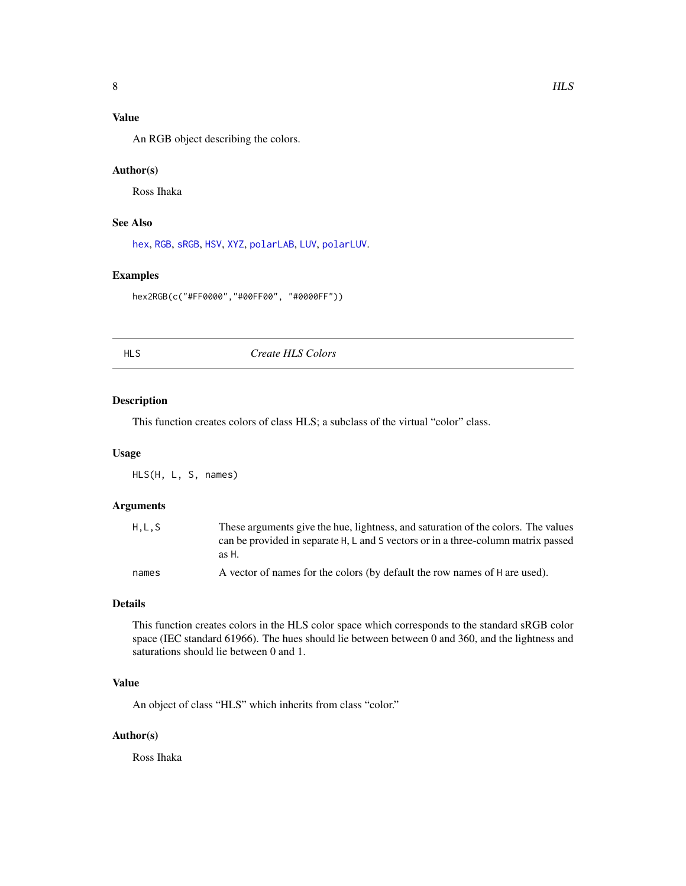# <span id="page-7-0"></span>Value

An RGB object describing the colors.

# Author(s)

Ross Ihaka

# See Also

[hex](#page-5-1), [RGB](#page-19-1), [sRGB](#page-20-1), [HSV](#page-8-1), [XYZ](#page-22-1), [polarLAB](#page-12-1), [LUV](#page-10-1), [polarLUV](#page-13-1).

# Examples

hex2RGB(c("#FF0000","#00FF00", "#0000FF"))

<span id="page-7-1"></span>

HLS *Create HLS Colors*

#### Description

This function creates colors of class HLS; a subclass of the virtual "color" class.

#### Usage

HLS(H, L, S, names)

## Arguments

| H.L.S | These arguments give the hue, lightness, and saturation of the colors. The values<br>can be provided in separate H, L and S vectors or in a three-column matrix passed<br>as H. |
|-------|---------------------------------------------------------------------------------------------------------------------------------------------------------------------------------|
| names | A vector of names for the colors (by default the row names of H are used).                                                                                                      |

# Details

This function creates colors in the HLS color space which corresponds to the standard sRGB color space (IEC standard 61966). The hues should lie between between 0 and 360, and the lightness and saturations should lie between 0 and 1.

# Value

An object of class "HLS" which inherits from class "color."

# Author(s)

Ross Ihaka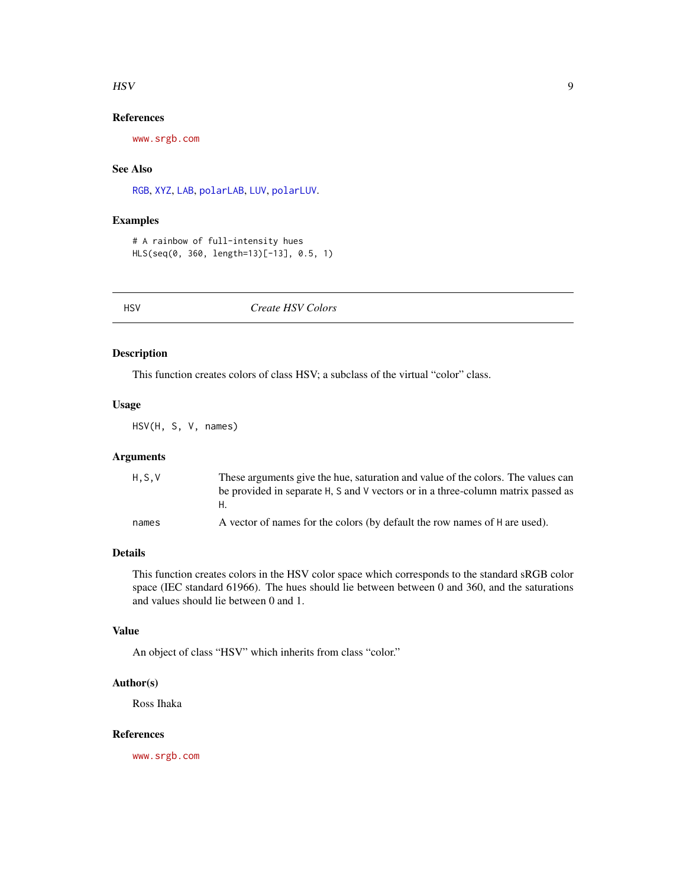#### <span id="page-8-0"></span> $\mathbf{H}$ SV 9

# References

<www.srgb.com>

# See Also

[RGB](#page-19-1), [XYZ](#page-22-1), [LAB](#page-9-1), [polarLAB](#page-12-1), [LUV](#page-10-1), [polarLUV](#page-13-1).

# Examples

```
# A rainbow of full-intensity hues
HLS(seq(0, 360, length=13)[-13], 0.5, 1)
```
<span id="page-8-1"></span>HSV *Create HSV Colors*

#### Description

This function creates colors of class HSV; a subclass of the virtual "color" class.

# Usage

HSV(H, S, V, names)

# Arguments

| H.S.V | These arguments give the hue, saturation and value of the colors. The values can |
|-------|----------------------------------------------------------------------------------|
|       | be provided in separate H, S and V vectors or in a three-column matrix passed as |
|       |                                                                                  |
| names | A vector of names for the colors (by default the row names of H are used).       |

#### Details

This function creates colors in the HSV color space which corresponds to the standard sRGB color space (IEC standard 61966). The hues should lie between between 0 and 360, and the saturations and values should lie between 0 and 1.

#### Value

An object of class "HSV" which inherits from class "color."

# Author(s)

Ross Ihaka

#### References

<www.srgb.com>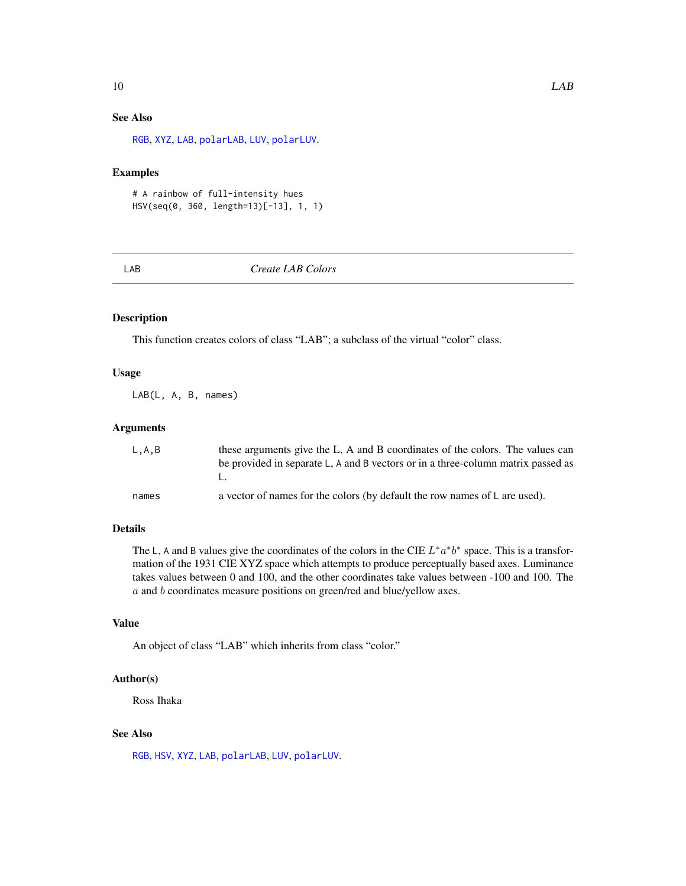# <span id="page-9-0"></span>See Also

[RGB](#page-19-1), [XYZ](#page-22-1), [LAB](#page-9-1), [polarLAB](#page-12-1), [LUV](#page-10-1), [polarLUV](#page-13-1).

# Examples

```
# A rainbow of full-intensity hues
HSV(seq(0, 360, length=13)[-13], 1, 1)
```
<span id="page-9-1"></span>LAB *Create LAB Colors*

# Description

This function creates colors of class "LAB"; a subclass of the virtual "color" class.

### Usage

LAB(L, A, B, names)

#### Arguments

| L.A.B | these arguments give the L, A and B coordinates of the colors. The values can    |
|-------|----------------------------------------------------------------------------------|
|       | be provided in separate L, A and B vectors or in a three-column matrix passed as |
| names | a vector of names for the colors (by default the row names of L are used).       |

# Details

The L, A and B values give the coordinates of the colors in the CIE  $L^* a^* b^*$  space. This is a transformation of the 1931 CIE XYZ space which attempts to produce perceptually based axes. Luminance takes values between 0 and 100, and the other coordinates take values between -100 and 100. The a and b coordinates measure positions on green/red and blue/yellow axes.

#### Value

An object of class "LAB" which inherits from class "color."

#### Author(s)

Ross Ihaka

# See Also

[RGB](#page-19-1), [HSV](#page-8-1), [XYZ](#page-22-1), [LAB](#page-9-1), [polarLAB](#page-12-1), [LUV](#page-10-1), [polarLUV](#page-13-1).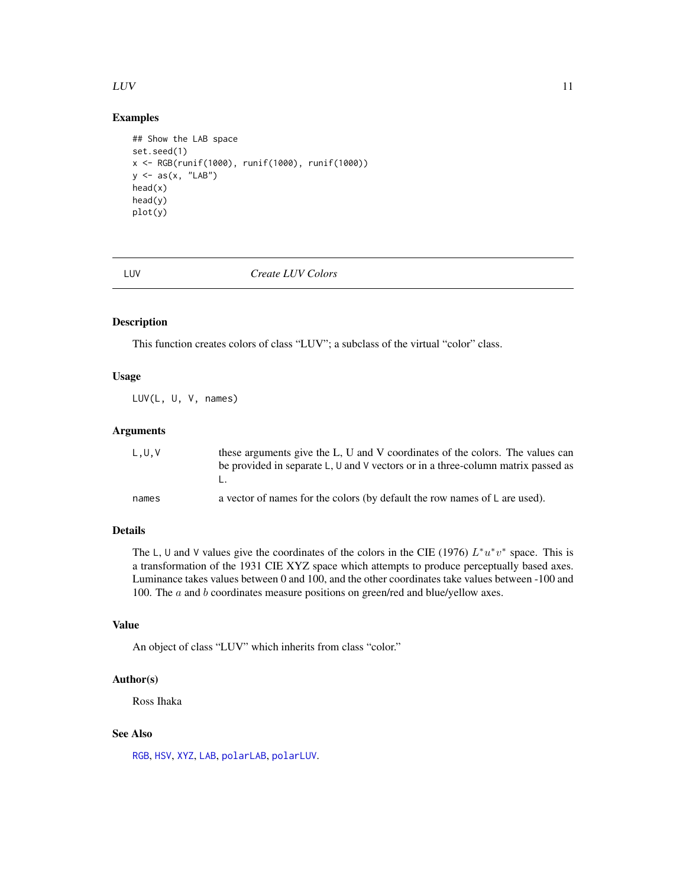#### <span id="page-10-0"></span> $LUV$  11

# Examples

```
## Show the LAB space
set.seed(1)
x <- RGB(runif(1000), runif(1000), runif(1000))
y \leftarrow as(x, "LAB")head(x)
head(y)
plot(y)
```
<span id="page-10-1"></span>LUV *Create LUV Colors*

# Description

This function creates colors of class "LUV"; a subclass of the virtual "color" class.

# Usage

LUV(L, U, V, names)

# Arguments

| L,U,V | these arguments give the L, U and V coordinates of the colors. The values can    |
|-------|----------------------------------------------------------------------------------|
|       | be provided in separate L, U and V vectors or in a three-column matrix passed as |
|       |                                                                                  |
| names | a vector of names for the colors (by default the row names of L are used).       |

# Details

The L, U and V values give the coordinates of the colors in the CIE (1976)  $L^*u^*v^*$  space. This is a transformation of the 1931 CIE XYZ space which attempts to produce perceptually based axes. Luminance takes values between 0 and 100, and the other coordinates take values between -100 and 100. The *a* and *b* coordinates measure positions on green/red and blue/yellow axes.

#### Value

An object of class "LUV" which inherits from class "color."

#### Author(s)

Ross Ihaka

# See Also

[RGB](#page-19-1), [HSV](#page-8-1), [XYZ](#page-22-1), [LAB](#page-9-1), [polarLAB](#page-12-1), [polarLUV](#page-13-1).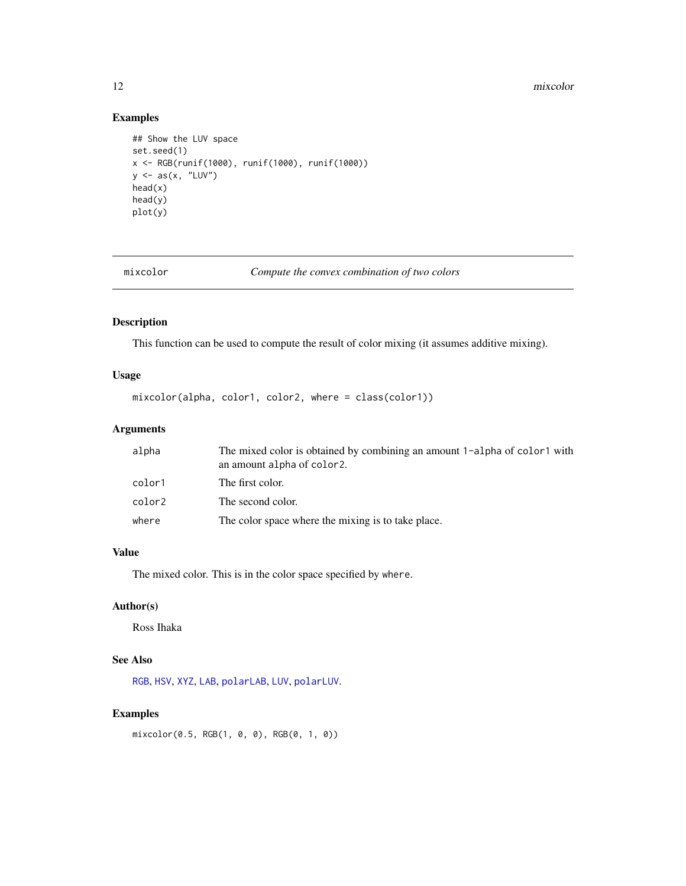#### <span id="page-11-0"></span>12 mixcolor

# Examples

```
## Show the LUV space
set.seed(1)
x <- RGB(runif(1000), runif(1000), runif(1000))
y \leftarrow as(x, "LUV")head(x)
head(y)
plot(y)
```
<span id="page-11-1"></span>mixcolor *Compute the convex combination of two colors*

# Description

This function can be used to compute the result of color mixing (it assumes additive mixing).

# Usage

```
mixcolor(alpha, color1, color2, where = class(color1))
```
# Arguments

| alpha  | The mixed color is obtained by combining an amount 1-alpha of color1 with<br>an amount alpha of color <sub>2</sub> . |
|--------|----------------------------------------------------------------------------------------------------------------------|
| color1 | The first color.                                                                                                     |
| color2 | The second color.                                                                                                    |
| where  | The color space where the mixing is to take place.                                                                   |

#### Value

The mixed color. This is in the color space specified by where.

# Author(s)

Ross Ihaka

# See Also

[RGB](#page-19-1), [HSV](#page-8-1), [XYZ](#page-22-1), [LAB](#page-9-1), [polarLAB](#page-12-1), [LUV](#page-10-1), [polarLUV](#page-13-1).

# Examples

mixcolor(0.5, RGB(1, 0, 0), RGB(0, 1, 0))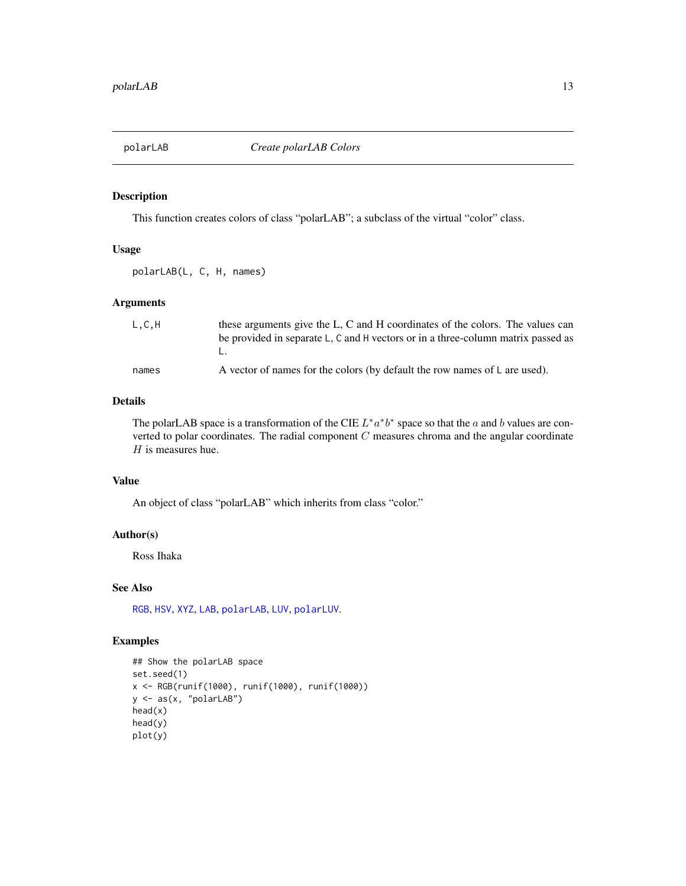<span id="page-12-1"></span><span id="page-12-0"></span>

This function creates colors of class "polarLAB"; a subclass of the virtual "color" class.

## Usage

polarLAB(L, C, H, names)

# Arguments

| L, C, H | these arguments give the L, C and H coordinates of the colors. The values can<br>be provided in separate L, C and H vectors or in a three-column matrix passed as |
|---------|-------------------------------------------------------------------------------------------------------------------------------------------------------------------|
| names   | A vector of names for the colors (by default the row names of L are used).                                                                                        |

#### Details

The polarLAB space is a transformation of the CIE  $L^* a^* b^*$  space so that the a and b values are converted to polar coordinates. The radial component  $C$  measures chroma and the angular coordinate  $H$  is measures hue.

#### Value

An object of class "polarLAB" which inherits from class "color."

## Author(s)

Ross Ihaka

#### See Also

[RGB](#page-19-1), [HSV](#page-8-1), [XYZ](#page-22-1), [LAB](#page-9-1), [polarLAB](#page-12-1), [LUV](#page-10-1), [polarLUV](#page-13-1).

```
## Show the polarLAB space
set.seed(1)
x <- RGB(runif(1000), runif(1000), runif(1000))
y <- as(x, "polarLAB")
head(x)
head(y)
plot(y)
```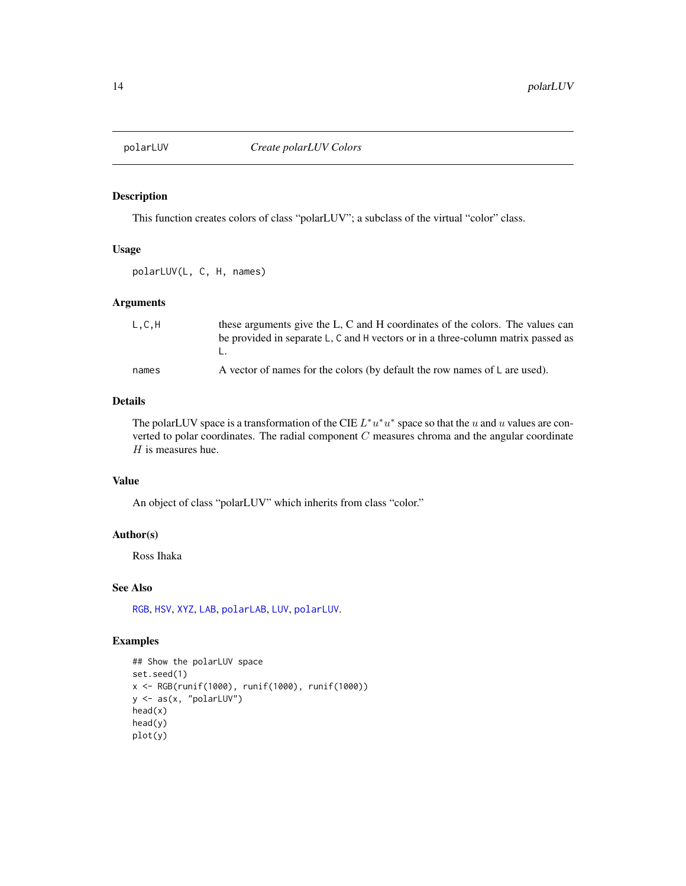<span id="page-13-1"></span><span id="page-13-0"></span>

This function creates colors of class "polarLUV"; a subclass of the virtual "color" class.

## Usage

polarLUV(L, C, H, names)

# Arguments

| L, C, H | these arguments give the L, C and H coordinates of the colors. The values can<br>be provided in separate L, C and H vectors or in a three-column matrix passed as |
|---------|-------------------------------------------------------------------------------------------------------------------------------------------------------------------|
| names   | A vector of names for the colors (by default the row names of L are used).                                                                                        |

#### Details

The polarLUV space is a transformation of the CIE  $L^*u^*u^*$  space so that the u and u values are converted to polar coordinates. The radial component  $C$  measures chroma and the angular coordinate  $H$  is measures hue.

#### Value

An object of class "polarLUV" which inherits from class "color."

## Author(s)

Ross Ihaka

#### See Also

[RGB](#page-19-1), [HSV](#page-8-1), [XYZ](#page-22-1), [LAB](#page-9-1), [polarLAB](#page-12-1), [LUV](#page-10-1), [polarLUV](#page-13-1).

```
## Show the polarLUV space
set.seed(1)
x <- RGB(runif(1000), runif(1000), runif(1000))
y <- as(x, "polarLUV")
head(x)
head(y)
plot(y)
```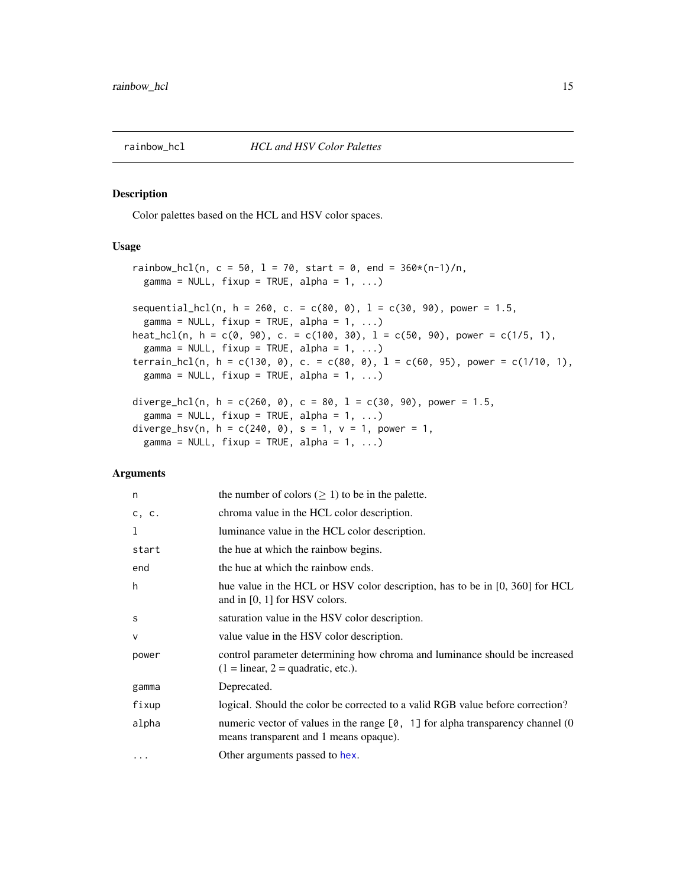<span id="page-14-2"></span><span id="page-14-1"></span><span id="page-14-0"></span>

Color palettes based on the HCL and HSV color spaces.

# Usage

```
rainbow_hcl(n, c = 50, l = 70, start = 0, end = 360*(n-1)/n,
 gamma = NULL, fixup = TRUE, alpha = 1, ...)sequential_hcl(n, h = 260, c. = c(80, 0), l = c(30, 90), power = 1.5,
  gamma = NULL, fixup = TRUE, alpha = 1, ...)
heat_hcl(n, h = c(0, 90), c. = c(100, 30), l = c(50, 90), power = c(1/5, 1),
  gamma = NULL, fixup = TRUE, alpha = 1, ...terrain_hcl(n, h = c(130, 0), c. = c(80, 0), l = c(60, 95), power = c(1/10, 1),
 gamma = NULL, fixup = TRUE, alpha = 1, ...)
diverge_hcl(n, h = c(260, 0), c = 80, l = c(30, 90), power = 1.5,
  gamma = NULL, fixup = TRUE, alpha = 1, ...diverge_hsv(n, h = c(240, 0), s = 1, v = 1, power = 1,
```

```
gamma = NULL, fixup = TRUE, alpha = 1, ...)
```
# Arguments

| n        | the number of colors $(\geq 1)$ to be in the palette.                                                                            |
|----------|----------------------------------------------------------------------------------------------------------------------------------|
| c, c.    | chroma value in the HCL color description.                                                                                       |
| 1        | luminance value in the HCL color description.                                                                                    |
| start    | the hue at which the rainbow begins.                                                                                             |
| end      | the hue at which the rainbow ends.                                                                                               |
| h        | hue value in the HCL or HSV color description, has to be in $[0, 360]$ for HCL<br>and in $[0, 1]$ for HSV colors.                |
| S        | saturation value in the HSV color description.                                                                                   |
| $\vee$   | value value in the HSV color description.                                                                                        |
| power    | control parameter determining how chroma and luminance should be increased<br>$(1 = linear, 2 = quadratic, etc.).$               |
| gamma    | Deprecated.                                                                                                                      |
| fixup    | logical. Should the color be corrected to a valid RGB value before correction?                                                   |
| alpha    | numeric vector of values in the range $[0, 1]$ for alpha transparency channel $(0, 1)$<br>means transparent and 1 means opaque). |
| $\cdots$ | Other arguments passed to hex.                                                                                                   |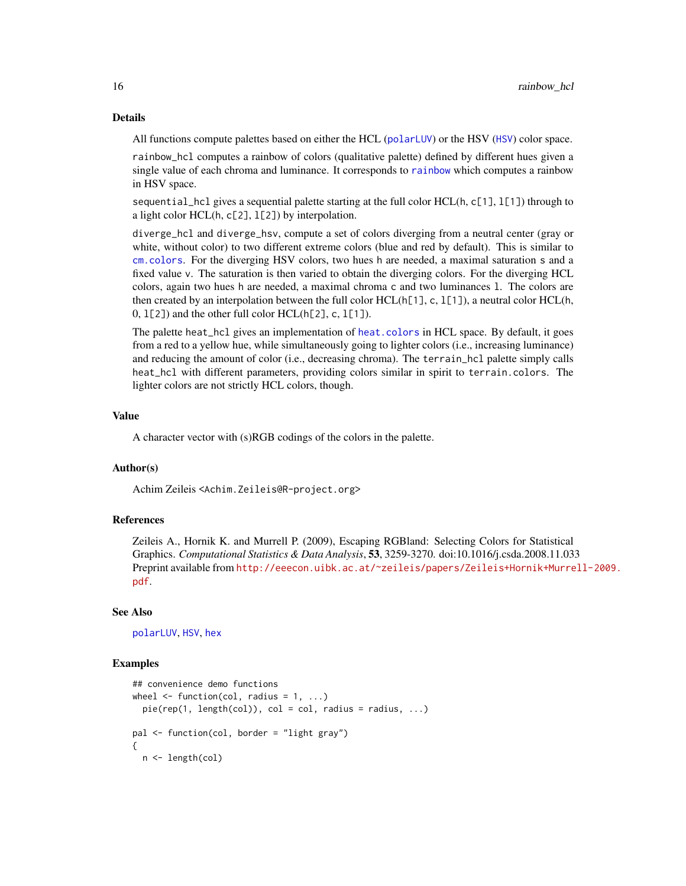#### <span id="page-15-0"></span>Details

All functions compute palettes based on either the HCL ([polarLUV](#page-13-1)) or the HSV ([HSV](#page-8-1)) color space.

rainbow\_hcl computes a rainbow of colors (qualitative palette) defined by different hues given a single value of each chroma and luminance. It corresponds to [rainbow](#page-0-0) which computes a rainbow in HSV space.

sequential\_hcl gives a sequential palette starting at the full color HCL(h, c[1], 1[1]) through to a light color HCL(h, c[2], l[2]) by interpolation.

diverge\_hcl and diverge\_hsv, compute a set of colors diverging from a neutral center (gray or white, without color) to two different extreme colors (blue and red by default). This is similar to [cm.colors](#page-0-0). For the diverging HSV colors, two hues h are needed, a maximal saturation s and a fixed value v. The saturation is then varied to obtain the diverging colors. For the diverging HCL colors, again two hues h are needed, a maximal chroma c and two luminances l. The colors are then created by an interpolation between the full color  $HCL(h[1], c, 1[1]),$  a neutral color  $HCL(h,$  $(0, 1[2])$  and the other full color HCL(h[2], c, 1[1]).

The palette heat\_hcl gives an implementation of [heat.colors](#page-0-0) in HCL space. By default, it goes from a red to a yellow hue, while simultaneously going to lighter colors (i.e., increasing luminance) and reducing the amount of color (i.e., decreasing chroma). The terrain\_hcl palette simply calls heat\_hcl with different parameters, providing colors similar in spirit to terrain.colors. The lighter colors are not strictly HCL colors, though.

#### Value

A character vector with (s)RGB codings of the colors in the palette.

#### Author(s)

Achim Zeileis <Achim.Zeileis@R-project.org>

#### References

Zeileis A., Hornik K. and Murrell P. (2009), Escaping RGBland: Selecting Colors for Statistical Graphics. *Computational Statistics & Data Analysis*, 53, 3259-3270. doi:10.1016/j.csda.2008.11.033 Preprint available from [http://eeecon.uibk.ac.at/~zeileis/papers/Zeileis+Hornik+Murre](http://eeecon.uibk.ac.at/~zeileis/papers/Zeileis+Hornik+Murrell-2009.pdf)ll-2009. [pdf](http://eeecon.uibk.ac.at/~zeileis/papers/Zeileis+Hornik+Murrell-2009.pdf).

#### See Also

[polarLUV](#page-13-1), [HSV](#page-8-1), [hex](#page-5-1)

```
## convenience demo functions
wheel \leq function(col, radius = 1, ...)
 pie(rep(1, length(col)), col = col, radius = radius, ...)pal <- function(col, border = "light gray")
{
 n <- length(col)
```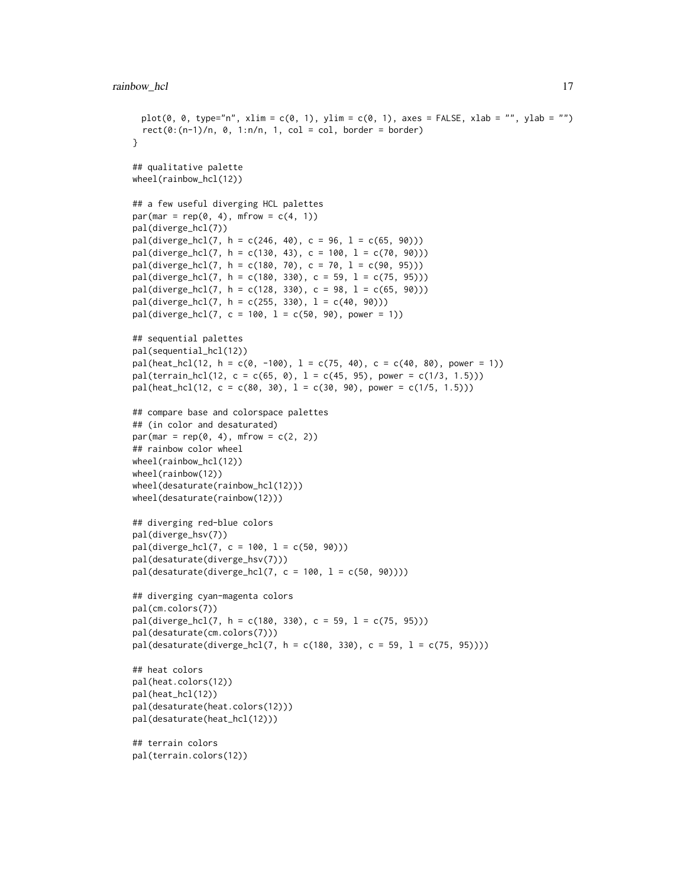```
plot(0, 0, type="n", xlim = c(0, 1), ylim = c(0, 1), axes = FALSE, xlab = "", ylab = "")
 rect(0:(n-1)/n, 0, 1:n/n, 1, col = col, border = border)}
## qualitative palette
wheel(rainbow_hcl(12))
## a few useful diverging HCL palettes
par(mar = rep(\emptyset, 4), mfrow = c(4, 1))
pal(diverge_hcl(7))
pal(diverge_hcl(7, h = c(246, 40), c = 96, l = c(65, 90)))pal(diverge_hcl(7, h = c(130, 43), c = 100, l = c(70, 90)))
pal(diverge_hcl(7, h = c(180, 70), c = 70, l = c(90, 95)))pal(diverge_hcl(7, h = c(180, 330), c = 59, l = c(75, 95)))pal(diverge_hcl(7, h = c(128, 330), c = 98, l = c(65, 90)))pal(diverge_hcl(7, h = c(255, 330), l = c(40, 90)))pal(diverge_hcl(7, c = 100, l = c(50, 90), power = 1))## sequential palettes
pal(sequential_hcl(12))
pal(heat_hcl(12, h = c(0, -100), l = c(75, 40), c = c(40, 80), power = 1))
pal(ternain_hcl(12, c = c(65, 0), l = c(45, 95), power = c(1/3, 1.5)))pal(head_Lhcl(12, c = c(80, 30), l = c(30, 90), power = c(1/5, 1.5)))## compare base and colorspace palettes
## (in color and desaturated)
par(max = rep(0, 4), mfrow = c(2, 2))## rainbow color wheel
wheel(rainbow_hcl(12))
wheel(rainbow(12))
wheel(desaturate(rainbow_hcl(12)))
wheel(desaturate(rainbow(12)))
## diverging red-blue colors
pal(diverge_hsv(7))
pal(diverge_hcl(7, c = 100, l = c(50, 90)))
pal(desaturate(diverge_hsv(7)))
pal(desaturate(diverge_hcl(7, c = 100, l = c(50, 90))))## diverging cyan-magenta colors
pal(cm.colors(7))
pal(diverge_hcl(7, h = c(180, 330), c = 59, l = c(75, 95)))
pal(desaturate(cm.colors(7)))
pal(desature(diverge_hcl(7, h = c(180, 330), c = 59, l = c(75, 95))))## heat colors
pal(heat.colors(12))
pal(heat_hcl(12))
pal(desaturate(heat.colors(12)))
pal(desaturate(heat_hcl(12)))
## terrain colors
pal(terrain.colors(12))
```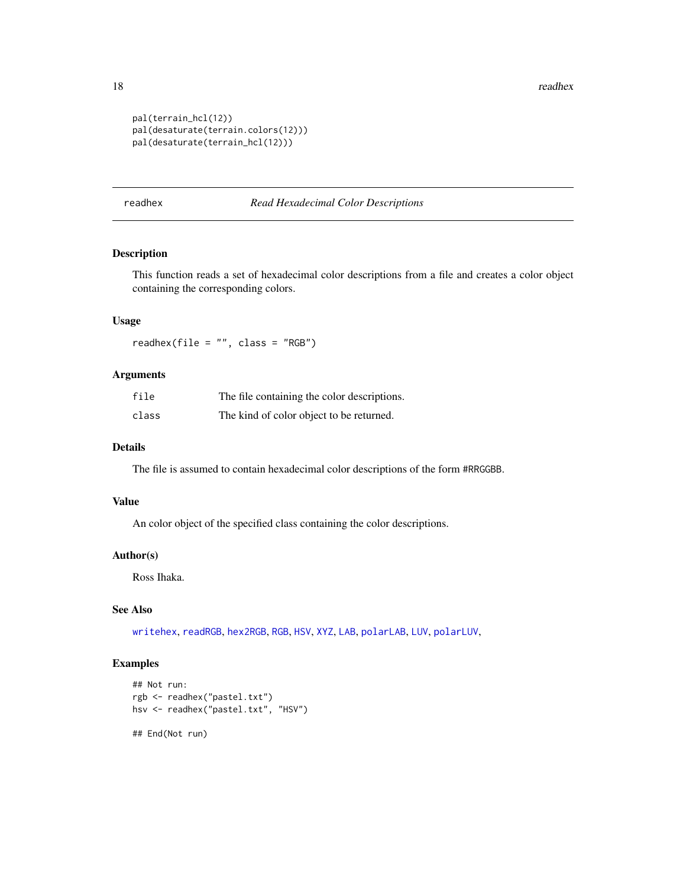<span id="page-17-0"></span>18 readhex reading the state of the state of the state of the state of the state of the state of the state of the state of the state of the state of the state of the state of the state of the state of the state of the stat

```
pal(terrain_hcl(12))
pal(desaturate(terrain.colors(12)))
pal(desaturate(terrain_hcl(12)))
```
<span id="page-17-1"></span>readhex *Read Hexadecimal Color Descriptions*

# Description

This function reads a set of hexadecimal color descriptions from a file and creates a color object containing the corresponding colors.

# Usage

readhex(file = "", class = "RGB")

# Arguments

| file  | The file containing the color descriptions. |
|-------|---------------------------------------------|
| class | The kind of color object to be returned.    |

#### Details

The file is assumed to contain hexadecimal color descriptions of the form #RRGGBB.

#### Value

An color object of the specified class containing the color descriptions.

#### Author(s)

Ross Ihaka.

#### See Also

[writehex](#page-21-1), [readRGB](#page-18-1), [hex2RGB](#page-6-1), [RGB](#page-19-1), [HSV](#page-8-1), [XYZ](#page-22-1), [LAB](#page-9-1), [polarLAB](#page-12-1), [LUV](#page-10-1), [polarLUV](#page-13-1),

```
## Not run:
rgb <- readhex("pastel.txt")
hsv <- readhex("pastel.txt", "HSV")
## End(Not run)
```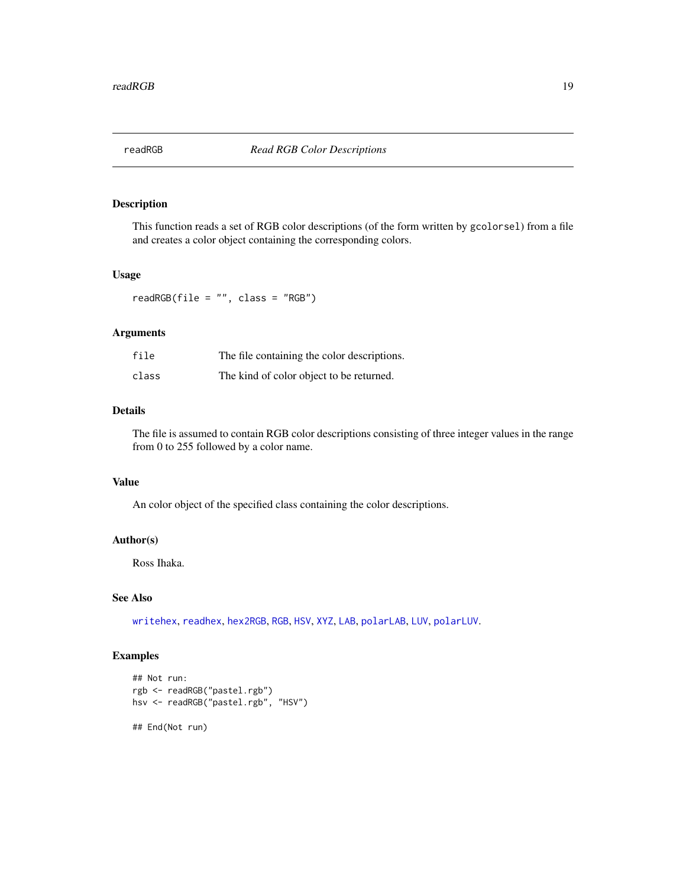<span id="page-18-1"></span><span id="page-18-0"></span>

This function reads a set of RGB color descriptions (of the form written by gcolorsel) from a file and creates a color object containing the corresponding colors.

#### Usage

readRGB(file = "", class = "RGB")

#### Arguments

| file  | The file containing the color descriptions. |
|-------|---------------------------------------------|
| class | The kind of color object to be returned.    |

#### Details

The file is assumed to contain RGB color descriptions consisting of three integer values in the range from 0 to 255 followed by a color name.

#### Value

An color object of the specified class containing the color descriptions.

# Author(s)

Ross Ihaka.

# See Also

[writehex](#page-21-1), [readhex](#page-17-1), [hex2RGB](#page-6-1), [RGB](#page-19-1), [HSV](#page-8-1), [XYZ](#page-22-1), [LAB](#page-9-1), [polarLAB](#page-12-1), [LUV](#page-10-1), [polarLUV](#page-13-1).

```
## Not run:
rgb <- readRGB("pastel.rgb")
hsv <- readRGB("pastel.rgb", "HSV")
## End(Not run)
```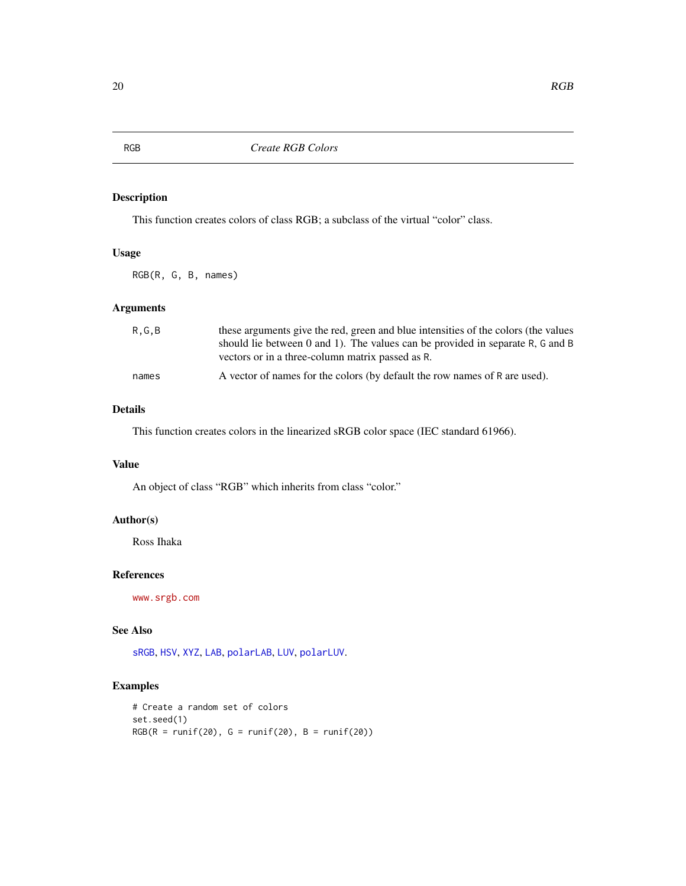This function creates colors of class RGB; a subclass of the virtual "color" class.

# Usage

RGB(R, G, B, names)

# Arguments

| R.G.B | these arguments give the red, green and blue intensities of the colors (the values<br>should lie between 0 and 1). The values can be provided in separate R, G and B<br>vectors or in a three-column matrix passed as R. |
|-------|--------------------------------------------------------------------------------------------------------------------------------------------------------------------------------------------------------------------------|
| names | A vector of names for the colors (by default the row names of R are used).                                                                                                                                               |

# Details

This function creates colors in the linearized sRGB color space (IEC standard 61966).

## Value

An object of class "RGB" which inherits from class "color."

## Author(s)

Ross Ihaka

## References

<www.srgb.com>

# See Also

[sRGB](#page-20-1), [HSV](#page-8-1), [XYZ](#page-22-1), [LAB](#page-9-1), [polarLAB](#page-12-1), [LUV](#page-10-1), [polarLUV](#page-13-1).

```
# Create a random set of colors
set.seed(1)
RGB(R = runif(20), G = runif(20), B = runif(20))
```
<span id="page-19-1"></span><span id="page-19-0"></span>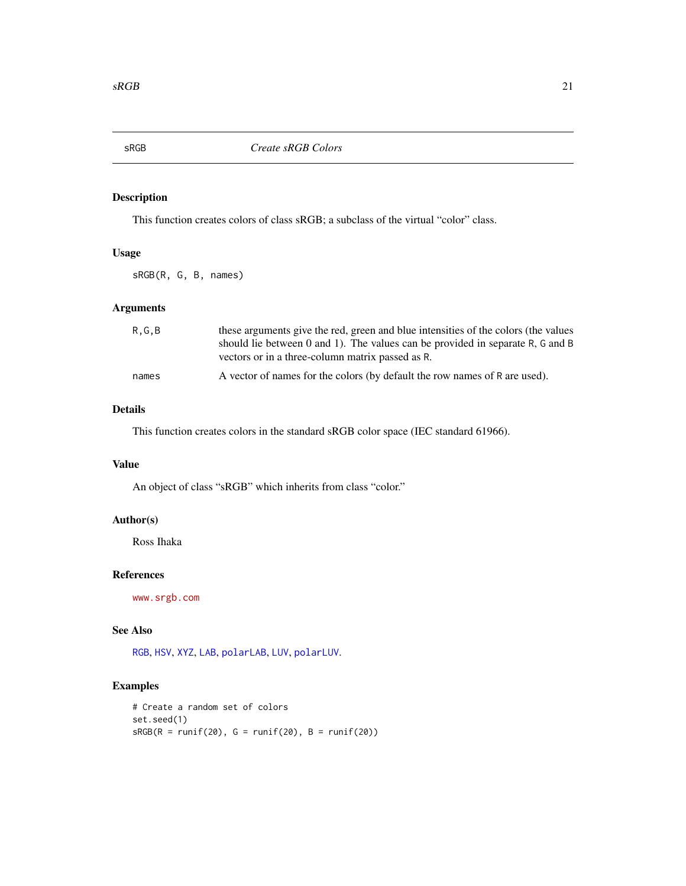<span id="page-20-1"></span><span id="page-20-0"></span>

This function creates colors of class sRGB; a subclass of the virtual "color" class.

# Usage

sRGB(R, G, B, names)

# Arguments

| R.G.B | these arguments give the red, green and blue intensities of the colors (the values<br>should lie between 0 and 1). The values can be provided in separate R, G and B<br>vectors or in a three-column matrix passed as R. |
|-------|--------------------------------------------------------------------------------------------------------------------------------------------------------------------------------------------------------------------------|
| names | A vector of names for the colors (by default the row names of R are used).                                                                                                                                               |

# Details

This function creates colors in the standard sRGB color space (IEC standard 61966).

## Value

An object of class "sRGB" which inherits from class "color."

## Author(s)

Ross Ihaka

## References

<www.srgb.com>

# See Also

[RGB](#page-19-1), [HSV](#page-8-1), [XYZ](#page-22-1), [LAB](#page-9-1), [polarLAB](#page-12-1), [LUV](#page-10-1), [polarLUV](#page-13-1).

```
# Create a random set of colors
set.seed(1)
sRGB(R = runif(20), G = runif(20), B = runif(20))
```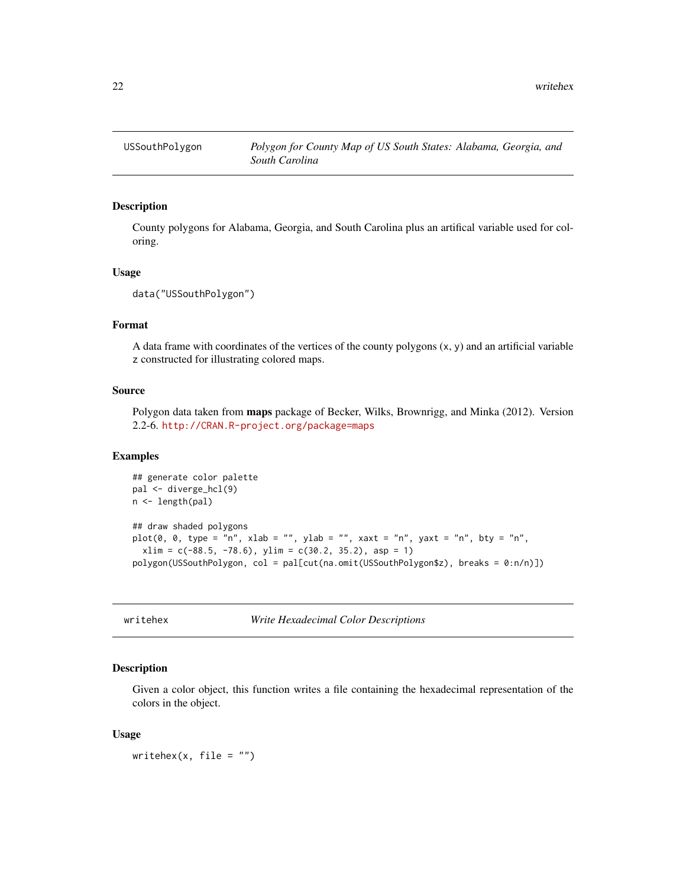<span id="page-21-0"></span>

County polygons for Alabama, Georgia, and South Carolina plus an artifical variable used for coloring.

#### Usage

```
data("USSouthPolygon")
```
#### Format

A data frame with coordinates of the vertices of the county polygons  $(x, y)$  and an artificial variable z constructed for illustrating colored maps.

#### Source

Polygon data taken from maps package of Becker, Wilks, Brownrigg, and Minka (2012). Version 2.2-6. <http://CRAN.R-project.org/package=maps>

# Examples

```
## generate color palette
pal <- diverge_hcl(9)
n <- length(pal)
## draw shaded polygons
plot(0, 0, type = "n", xlab = "", ylab = "", xaxt = "n", yaxt = "n", bty = "n",
  xlim = c(-88.5, -78.6), ylim = c(30.2, 35.2), asp = 1)polygon(USSouthPolygon, col = pal[cut(na.omit(USSouthPolygon$z), breaks = 0:n/n)])
```
<span id="page-21-1"></span>writehex *Write Hexadecimal Color Descriptions*

#### Description

Given a color object, this function writes a file containing the hexadecimal representation of the colors in the object.

#### Usage

writehex $(x,$  file = "")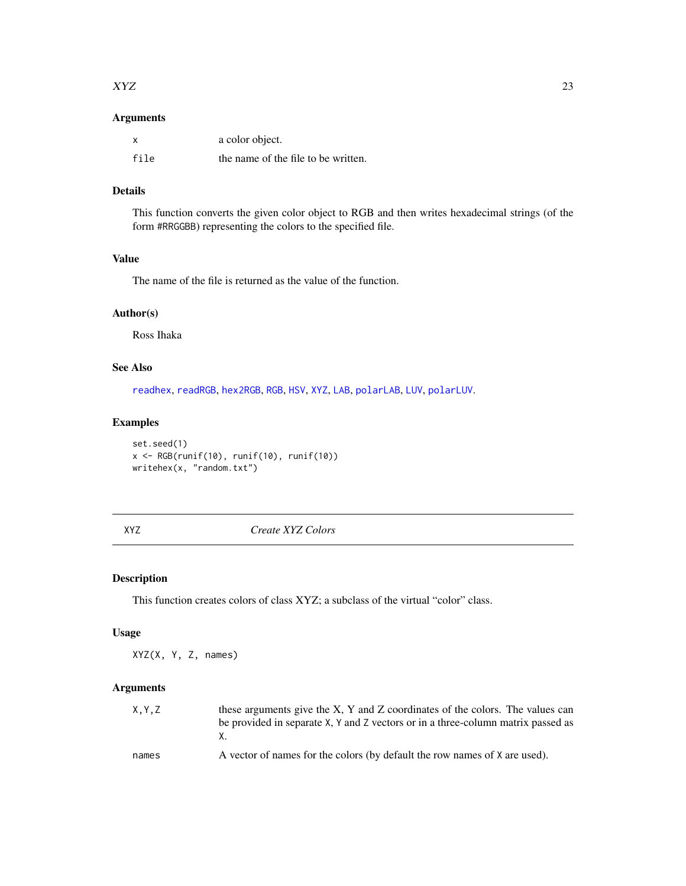#### <span id="page-22-0"></span> $XYZ$  23

# Arguments

| X    | a color object.                     |
|------|-------------------------------------|
| file | the name of the file to be written. |

# Details

This function converts the given color object to RGB and then writes hexadecimal strings (of the form #RRGGBB) representing the colors to the specified file.

# Value

The name of the file is returned as the value of the function.

# Author(s)

Ross Ihaka

# See Also

[readhex](#page-17-1), [readRGB](#page-18-1), [hex2RGB](#page-6-1), [RGB](#page-19-1), [HSV](#page-8-1), [XYZ](#page-22-1), [LAB](#page-9-1), [polarLAB](#page-12-1), [LUV](#page-10-1), [polarLUV](#page-13-1).

# Examples

```
set.seed(1)
x <- RGB(runif(10), runif(10), runif(10))
writehex(x, "random.txt")
```
<span id="page-22-1"></span>XYZ *Create XYZ Colors*

# Description

This function creates colors of class XYZ; a subclass of the virtual "color" class.

# Usage

XYZ(X, Y, Z, names)

#### Arguments

| X.Y.Z | these arguments give the X, Y and Z coordinates of the colors. The values can    |
|-------|----------------------------------------------------------------------------------|
|       | be provided in separate X, Y and Z vectors or in a three-column matrix passed as |
|       |                                                                                  |
| names | A vector of names for the colors (by default the row names of X are used).       |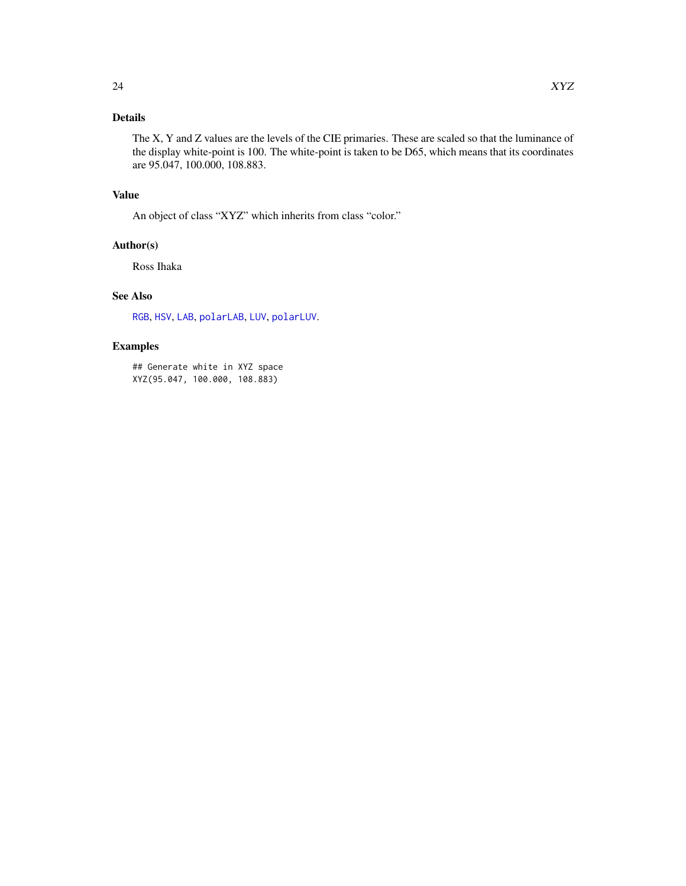# <span id="page-23-0"></span>Details

The X, Y and Z values are the levels of the CIE primaries. These are scaled so that the luminance of the display white-point is 100. The white-point is taken to be D65, which means that its coordinates are 95.047, 100.000, 108.883.

# Value

An object of class "XYZ" which inherits from class "color."

# Author(s)

Ross Ihaka

# See Also

[RGB](#page-19-1), [HSV](#page-8-1), [LAB](#page-9-1), [polarLAB](#page-12-1), [LUV](#page-10-1), [polarLUV](#page-13-1).

# Examples

## Generate white in XYZ space XYZ(95.047, 100.000, 108.883)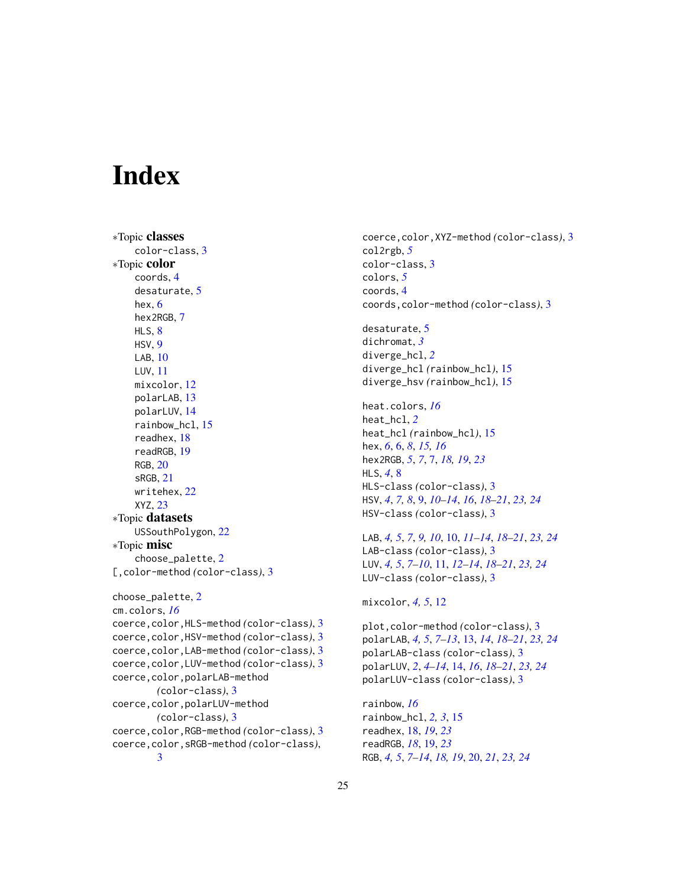# <span id="page-24-0"></span>**Index**

```
∗Topic classes
    color-class, 3
∗Topic color
    coords, 4
    desaturate, 5
    hex, 6
    hex2RGB, 7
    HLS, 8
    HSV, 9
    LAB, 10
    LUV, 11
    mixcolor, 12
    polarLAB, 13
    polarLUV, 14
    rainbow_hcl, 15
    readhex, 18
    readRGB, 19
    RGB, 20
    sRGB, 21
    writehex, 22
    XYZ, 23
∗Topic datasets
    USSouthPolygon, 22
∗Topic misc
    choose_palette, 2
[,color-method (color-class), 3
choose_palette, 2
cm.colors, 16
coerce,color,HLS-method (color-class), 3
coerce,color,HSV-method (color-class), 3
coerce,color,LAB-method (color-class), 3
coerce,color,LUV-method (color-class), 3
coerce,color,polarLAB-method
        (color-class), 3
coerce,color,polarLUV-method
        (color-class), 3
coerce,color,RGB-method (color-class), 3
coerce,color,sRGB-method (color-class),
        3
```
coerce,color,XYZ-method *(*color-class*)*, [3](#page-2-0) col2rgb, *[5](#page-4-0)* color-class, [3](#page-2-0) colors, *[5](#page-4-0)* coords, [4](#page-3-0) coords,color-method *(*color-class*)*, [3](#page-2-0) desaturate, [5](#page-4-0) dichromat, *[3](#page-2-0)* diverge\_hcl, *[2](#page-1-0)* diverge\_hcl *(*rainbow\_hcl*)*, [15](#page-14-0)

```
diverge_hsv (rainbow_hcl), 15
```
heat.colors, *[16](#page-15-0)* heat\_hcl, *[2](#page-1-0)* heat\_hcl *(*rainbow\_hcl*)*, [15](#page-14-0) hex, *[6](#page-5-0)*, [6,](#page-5-0) *[8](#page-7-0)*, *[15,](#page-14-0) [16](#page-15-0)* hex2RGB, *[5](#page-4-0)*, *[7](#page-6-0)*, [7,](#page-6-0) *[18,](#page-17-0) [19](#page-18-0)*, *[23](#page-22-0)* HLS, *[4](#page-3-0)*, [8](#page-7-0) HLS-class *(*color-class*)*, [3](#page-2-0) HSV, *[4](#page-3-0)*, *[7,](#page-6-0) [8](#page-7-0)*, [9,](#page-8-0) *[10](#page-9-0)[–14](#page-13-0)*, *[16](#page-15-0)*, *[18](#page-17-0)[–21](#page-20-0)*, *[23,](#page-22-0) [24](#page-23-0)* HSV-class *(*color-class*)*, [3](#page-2-0)

LAB, *[4,](#page-3-0) [5](#page-4-0)*, *[7](#page-6-0)*, *[9,](#page-8-0) [10](#page-9-0)*, [10,](#page-9-0) *[11](#page-10-0)[–14](#page-13-0)*, *[18](#page-17-0)[–21](#page-20-0)*, *[23,](#page-22-0) [24](#page-23-0)* LAB-class *(*color-class*)*, [3](#page-2-0) LUV, *[4,](#page-3-0) [5](#page-4-0)*, *[7](#page-6-0)[–10](#page-9-0)*, [11,](#page-10-0) *[12](#page-11-0)[–14](#page-13-0)*, *[18](#page-17-0)[–21](#page-20-0)*, *[23,](#page-22-0) [24](#page-23-0)* LUV-class *(*color-class*)*, [3](#page-2-0)

## mixcolor, *[4,](#page-3-0) [5](#page-4-0)*, [12](#page-11-0)

```
plot,color-method (color-class), 3
polarLAB, 4, 5, 7–13, 13, 14, 18–21, 23, 24
polarLAB-class (color-class), 3
polarLUV, 2, 4–14, 14, 16, 18–21, 23, 24
polarLUV-class (color-class), 3
```
rainbow, *[16](#page-15-0)* rainbow\_hcl, *[2,](#page-1-0) [3](#page-2-0)*, [15](#page-14-0) readhex, [18,](#page-17-0) *[19](#page-18-0)*, *[23](#page-22-0)* readRGB, *[18](#page-17-0)*, [19,](#page-18-0) *[23](#page-22-0)* RGB, *[4,](#page-3-0) [5](#page-4-0)*, *[7](#page-6-0)[–14](#page-13-0)*, *[18,](#page-17-0) [19](#page-18-0)*, [20,](#page-19-0) *[21](#page-20-0)*, *[23,](#page-22-0) [24](#page-23-0)*